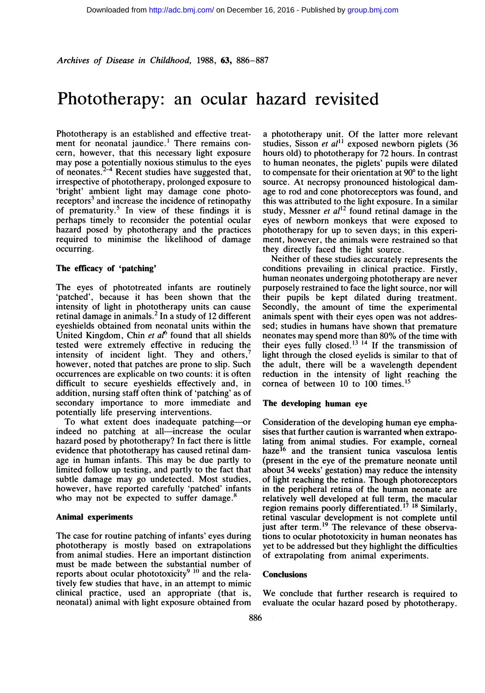Archives of Disease in Childhood, 1988, 63, 886-887

# Phototherapy: an ocular hazard revisited

Phototherapy is an established and effective treatment for neonatal jaundice.<sup>1</sup> There remains concern, however, that this necessary light exposure may pose a qotentially noxious stimulus to the eyes of neonates. $44$  Recent studies have suggested that, irrespective of phototherapy, prolonged exposure to 'bright' ambient light may damage cone photoreceptors<sup>3</sup> and increase the incidence of retinopathy of prematurity.<sup>5</sup> In view of these findings it is perhaps timely to reconsider the potential ocular hazard posed by phototherapy and the practices required to minimise the likelihood of damage occurring.

### The efficacy of 'patching'

The eyes of phototreated infants are routinely 'patched', because it has been shown that the intensity of light in phototherapy units can cause retinal damage in animals.<sup>2</sup> In a study of 12 different eyeshields obtained from neonatal units within the United Kingdom, Chin et  $a^{r}$  found that all shields tested were extremely effective in reducing the intensity of incident light. They and others, however, noted that patches are prone to slip. Such occurrences are explicable on two counts: it is often difficult to secure eyeshields effectively and, in addition, nursing staff often think of 'patching' as of secondary importance to more immediate and potentially life preserving interventions.

To what extent does inadequate patching-or indeed no patching at all-increase the ocular hazard posed by phototherapy? In fact there is little evidence that phototherapy has caused retinal damage in human infants. This may be due partly to limited follow up testing, and partly to the fact that subtle damage may go undetected. Most studies, however, have reported carefully 'patched' infants who may not be expected to suffer damage.<sup>8</sup>

#### Animal experiments

The case for routine patching of infants' eyes during phototherapy is mostly based on extrapolations from animal studies. Here an important distinction must be made between the substantial number of reports about ocular phototoxicity $9\,10\,$  and the relatively few studies that have, in an attempt to mimic clinical practice, used an appropriate (that is, neonatal) animal with light exposure obtained from

a phototherapy unit. Of the latter more relevant studies, Sisson et al<sup>11</sup> exposed newborn piglets (36 hours old) to phototherapy for 72 hours. In contrast to human neonates, the piglets' pupils were dilated to compensate for their orientation at  $90^{\circ}$  to the light source. At necropsy pronounced histological damage to rod and cone photoreceptors was found, and this was attributed to the light exposure. In a similar study, Messner et  $al<sup>12</sup>$  found retinal damage in the eyes of newborn monkeys that were exposed to phototherapy for up to seven days; in this experiment, however, the animals were restrained so that they directly faced the light source.

Neither of these studies accurately represents the conditions prevailing in clinical practice. Firstly, human neonates undergoing phototherapy are never purposely restrained to face the light source, nor will their pupils be kept dilated during treatment. Secondly, the amount of time the experimental animals spent with their eyes open was not addressed; studies in humans have shown that premature neonates may spend more than 80% of the time with their eyes fully closed.'3 <sup>14</sup> If the transmission of light through the closed eyelids is similar to that of the adult, there will be a wavelength dependent reduction in the intensity of light reaching the cornea of between  $10$  to  $100$  times.<sup>15</sup>

## The developing human eye

Consideration of the developing human eye emphasises that further caution is warranted when extrapolating from animal studies. For example, corneal haze<sup>16</sup> and the transient tunica vasculosa lentis (present in the eye of the premature neonate until about 34 weeks' gestation) may reduce the intensity of light reaching the retina. Though photoreceptors in the peripheral retina of the human neonate are relatively well developed at full term, the macular region remains poorly differentiated.'7 <sup>18</sup> Similarly, retinal vascular development is not complete until<br>just after term.<sup>19</sup> The relevance of these observations to ocular phototoxicity in human neonates has yet to be addressed but they highlight the difficulties of extrapolating from animal experiments.

#### **Conclusions**

We conclude that further research is required to evaluate the ocular hazard posed by phototherapy.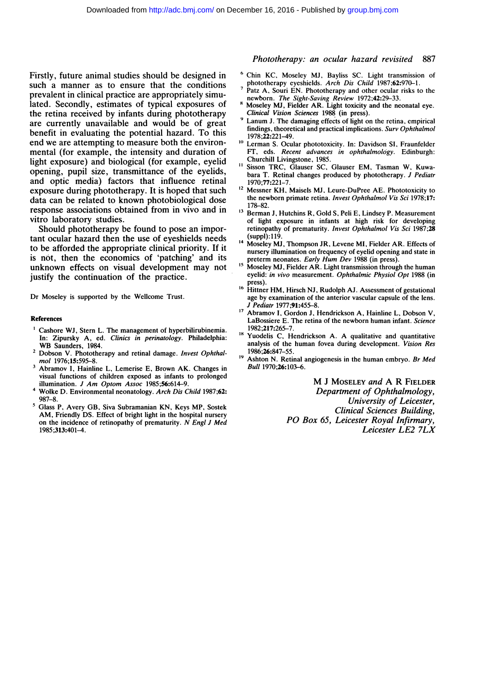Firstly, future animal studies should be designed in such a manner as to ensure that the conditions prevalent in clinical practice are appropriately simulated. Secondly, estimates of typical exposures of the retina received by infants during phototherapy are currently unavailable and would be of great benefit in evaluating the potential hazard. To this end we are attempting to measure both the environmental (for example, the intensity and duration of light exposure) and biological (for example, eyelid opening, pupil size, transmittance of the eyelids, and optic media) factors that influence retinal exposure during phototherapy. It is hoped that such data can be related to known photobiological dose response associations obtained from in vivo and in vitro laboratory studies.

Should phototherapy be found to pose an important ocular hazard then the use of eyeshields needs to be afforded the appropriate clinical priority. If it is not, then the economics of 'patching' and its unknown effects on visual development may not justify the continuation of the practice.

Dr Moseley is supported by the Wellcome Trust.

#### References

- <sup>1</sup> Cashore WJ, Stern L. The management of hyperbilirubinemia. In: Zipursky A, ed. Clinics in perinatology. Philadelphia: WB Saunders, 1984.
- <sup>2</sup> Dobson V. Phototherapy and retinal damage. Invest Ophthalmol 1976;15:595-8.
- Abramov I, Hainline L, Lemerise E, Brown AK. Changes in visual functions of children exposed as infants to prolonged illumination. J Am Optom Assoc 1985;56:614-9.
- <sup>4</sup> Wolke D. Environmental neonatology. Arch Dis Child 1987;62: 987-8.
- 5Glass P, Avery GB, Siva Subramanian KN, Keys MP, Sostek AM, Friendly DS. Effect of bright light in the hospital nursery on the incidence of retinopathy of prematurity. N Engl J Med 1985;313:401-4.

### Phototherapy: an ocular hazard revisited 887

- <sup>6</sup> Chin KC, Moseley MJ, Bayliss SC. Light transmission of phototherapy eyeshields. Arch Dis Child 1987;62:970-1.
- Patz A, Souri EN. Phototherapy and other ocular risks to the
- newborn. The Sight-Saving Review 1972;42:29–33.<br><sup>8</sup> Moseley MJ, Fielder AR. Light toxicity and the neonatal eye. Clinical Vision Sciences 1988 (in press).
- Lanum J. The damaging effects of light on the retina, empirical findings, theoretical and practical implications. Surv Ophthalmol 1978;22:221-49.
- <sup>10</sup> Lerman S. Ocular phototoxicity. In: Davidson SI, Fraunfelder FT, eds. Recent advances in ophthalmology. Edinburgh: Churchill Livingstone, 1985.
- Sisson TRC, Glauser SC, Glauser EM, Tasman W, Kuwabara T. Retinal changes produced by phototherapy. J Pediatr 1970;77:221-7.
- <sup>12</sup> Messner KH, Maisels MJ, Leure-DuPree AE. Phototoxicity to the newborn primate retina. Invest Ophthalmol Vis Sci 1978;17: 178-82.
- <sup>13</sup> Berman J, Hutchins R, Gold S, Peli E, Lindsey P. Measurement of light exposure in infants at high risk for developing retinopathy of prematurity. Invest Ophthalmol Vis Sci 1987;28 (suppl): 119.
- <sup>14</sup> Moseley MJ, Thompson JR, Levene MI, Fielder AR. Effects of nursery illumination on frequency of eyelid opening and state in preterm neonates. Early Hum Dev <sup>1988</sup> (in press).
- <sup>15</sup> Moseley MJ, Fielder AR. Light transmission through the human eyelid: in vivo measurement. Ophthalmic Physiol Opt 1988 (in press)
- <sup>16</sup> Hittner HM, Hirsch NJ, Rudolph AJ. Assessment of gestational age by examination of the anterior vascular capsule of the lens. J Pediatr 1977;91:455-8.
- Abramov I, Gordon J, Hendrickson A, Hainline L, Dobson V, LaBossiere E. The retina of the newborn human infant. Science 1982;217:265-7.
- <sup>18</sup> Yuodelis C, Hendrickson A. A qualitative and quantitative analysis of the human fovea during development. Vision Res 1986;26:847-55.
- <sup>19</sup> Ashton N. Retinal angiogenesis in the human embryo. Br Med Bull 1970;26:103-6.

M <sup>J</sup> MOSELEY and A R FIELDER Department of Ophthalmology, University of Leicester, Clinical Sciences Building, PO Box 65, Leicester Royal Infirmary, Leicester LE2 7LX